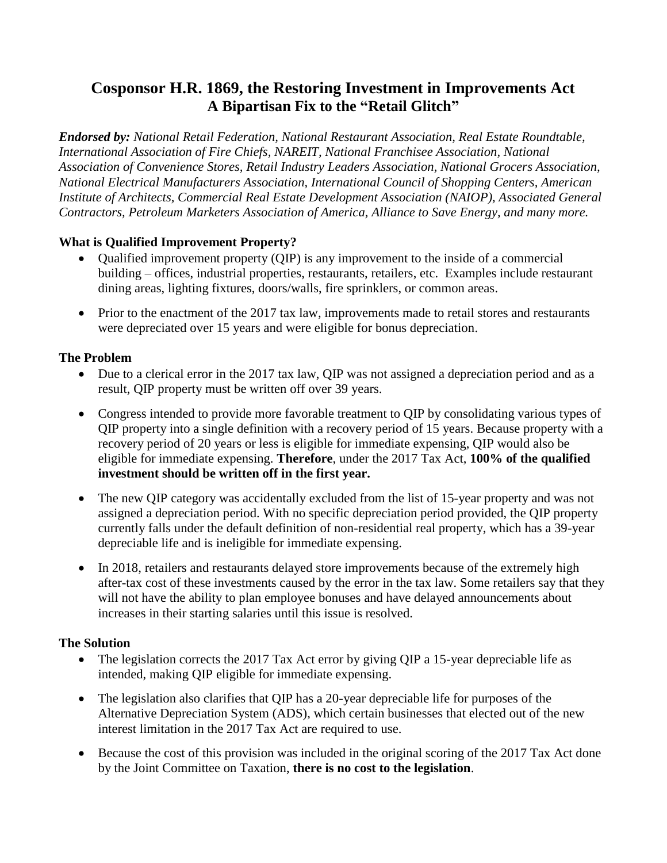# **Cosponsor H.R. 1869, the Restoring Investment in Improvements Act A Bipartisan Fix to the "Retail Glitch"**

*Endorsed by: National Retail Federation, National Restaurant Association, Real Estate Roundtable, International Association of Fire Chiefs, NAREIT, National Franchisee Association, National Association of Convenience Stores, Retail Industry Leaders Association, National Grocers Association, National Electrical Manufacturers Association, International Council of Shopping Centers, American Institute of Architects, Commercial Real Estate Development Association (NAIOP), Associated General Contractors, Petroleum Marketers Association of America, Alliance to Save Energy, and many more.* 

### **What is Qualified Improvement Property?**

- Oualified improvement property (OIP) is any improvement to the inside of a commercial building – offices, industrial properties, restaurants, retailers, etc. Examples include restaurant dining areas, lighting fixtures, doors/walls, fire sprinklers, or common areas.
- Prior to the enactment of the 2017 tax law, improvements made to retail stores and restaurants were depreciated over 15 years and were eligible for bonus depreciation.

### **The Problem**

- Due to a clerical error in the 2017 tax law, QIP was not assigned a depreciation period and as a result, QIP property must be written off over 39 years.
- Congress intended to provide more favorable treatment to QIP by consolidating various types of QIP property into a single definition with a recovery period of 15 years. Because property with a recovery period of 20 years or less is eligible for immediate expensing, QIP would also be eligible for immediate expensing. **Therefore**, under the 2017 Tax Act, **100% of the qualified investment should be written off in the first year.**
- The new QIP category was accidentally excluded from the list of 15-year property and was not assigned a depreciation period. With no specific depreciation period provided, the QIP property currently falls under the default definition of non-residential real property, which has a 39-year depreciable life and is ineligible for immediate expensing.
- In 2018, retailers and restaurants delayed store improvements because of the extremely high after-tax cost of these investments caused by the error in the tax law. Some retailers say that they will not have the ability to plan employee bonuses and have delayed announcements about increases in their starting salaries until this issue is resolved.

### **The Solution**

- The legislation corrects the 2017 Tax Act error by giving QIP a 15-year depreciable life as intended, making QIP eligible for immediate expensing.
- The legislation also clarifies that QIP has a 20-year depreciable life for purposes of the Alternative Depreciation System (ADS), which certain businesses that elected out of the new interest limitation in the 2017 Tax Act are required to use.
- Because the cost of this provision was included in the original scoring of the 2017 Tax Act done by the Joint Committee on Taxation, **there is no cost to the legislation**.